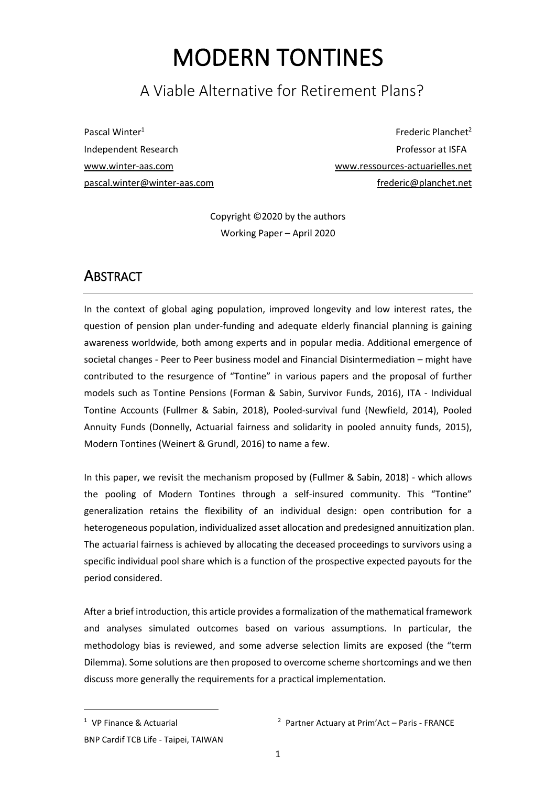# MODERN TONTINES

# A Viable Alternative for Retirement Plans?

Pascal Winter<sup>1</sup> Independent Research [www.winter-aas.com](http://www.winter-aas.com/) [pascal.winter@winter-aas.com](mailto:pascal.winter@winter-aas.com)

Frederic Planchet<sup>2</sup> Professor at ISFA [www.ressources-actuarielles.net](http://www.ressources-actuarielles.net/) [frederic@planchet.net](mailto:frederic@planchet.net)

Copyright ©2020 by the authors Working Paper – April 2020

# <span id="page-0-0"></span>**ABSTRACT**

In the context of global aging population, improved longevity and low interest rates, the question of pension plan under-funding and adequate elderly financial planning is gaining awareness worldwide, both among experts and in popular media. Additional emergence of societal changes - Peer to Peer business model and Financial Disintermediation – might have contributed to the resurgence of "Tontine" in various papers and the proposal of further models such as Tontine Pensions (Forman & Sabin, Survivor Funds, 2016), ITA - Individual Tontine Accounts (Fullmer & Sabin, 2018), Pooled-survival fund (Newfield, 2014), Pooled Annuity Funds (Donnelly, Actuarial fairness and solidarity in pooled annuity funds, 2015), Modern Tontines (Weinert & Grundl, 2016) to name a few.

In this paper, we revisit the mechanism proposed by (Fullmer & Sabin, 2018) - which allows the pooling of Modern Tontines through a self-insured community. This "Tontine" generalization retains the flexibility of an individual design: open contribution for a heterogeneous population, individualized asset allocation and predesigned annuitization plan. The actuarial fairness is achieved by allocating the deceased proceedings to survivors using a specific individual pool share which is a function of the prospective expected payouts for the period considered.

After a brief introduction, this article provides a formalization of the mathematical framework and analyses simulated outcomes based on various assumptions. In particular, the methodology bias is reviewed, and some adverse selection limits are exposed (the "term Dilemma). Some solutions are then proposed to overcome scheme shortcomings and we then discuss more generally the requirements for a practical implementation.

<sup>1</sup> VP Finance & Actuarial

<sup>2</sup> Partner Actuary at Prim'Act – Paris - FRANCE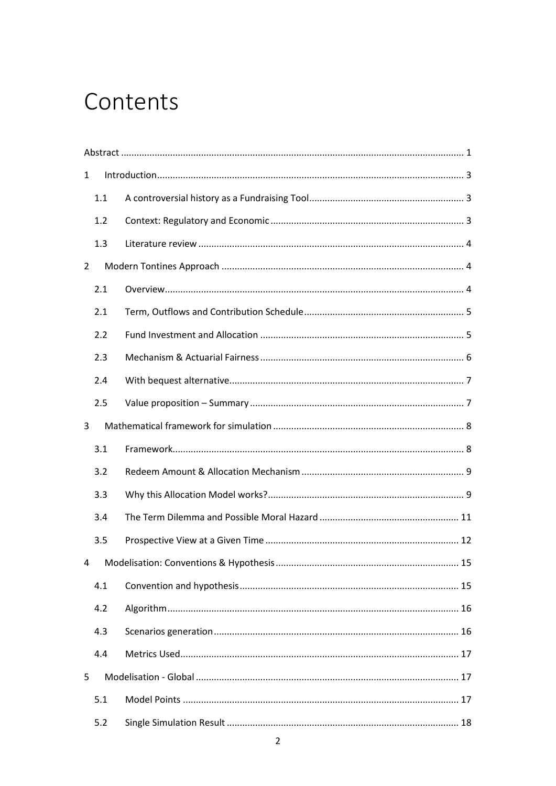# Contents

| $\mathbf{1}$   |     |  |    |  |  |
|----------------|-----|--|----|--|--|
|                | 1.1 |  |    |  |  |
|                | 1.2 |  |    |  |  |
|                | 1.3 |  |    |  |  |
| $\overline{2}$ |     |  |    |  |  |
|                | 2.1 |  |    |  |  |
|                | 2.1 |  |    |  |  |
|                | 2.2 |  |    |  |  |
|                | 2.3 |  |    |  |  |
|                | 2.4 |  |    |  |  |
|                | 2.5 |  |    |  |  |
| 3              |     |  |    |  |  |
|                |     |  |    |  |  |
|                | 3.1 |  |    |  |  |
|                | 3.2 |  |    |  |  |
|                | 3.3 |  |    |  |  |
|                | 3.4 |  |    |  |  |
|                | 3.5 |  |    |  |  |
| 4              |     |  | 15 |  |  |
|                | 4.1 |  |    |  |  |
|                | 4.2 |  |    |  |  |
|                | 4.3 |  |    |  |  |
|                | 4.4 |  |    |  |  |
| 5              |     |  |    |  |  |
|                | 5.1 |  |    |  |  |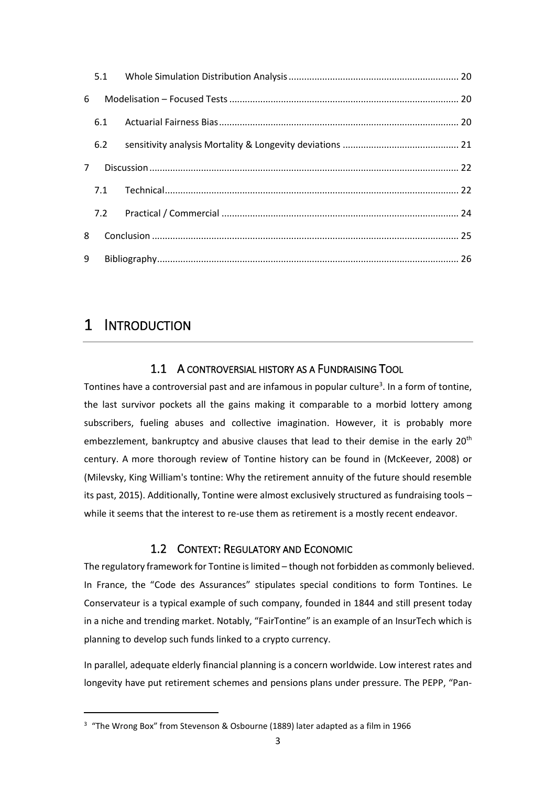| 6           |     |  |
|-------------|-----|--|
|             |     |  |
|             | 6.2 |  |
| $7^{\circ}$ |     |  |
|             |     |  |
|             |     |  |
| 8           |     |  |
| 9           |     |  |

# <span id="page-2-1"></span><span id="page-2-0"></span>1 INTRODUCTION

# 1.1 A CONTROVERSIAL HISTORY AS A FUNDRAISING TOOL

Tontines have a controversial past and are infamous in popular culture<sup>3</sup>. In a form of tontine, the last survivor pockets all the gains making it comparable to a morbid lottery among subscribers, fueling abuses and collective imagination. However, it is probably more embezzlement, bankruptcy and abusive clauses that lead to their demise in the early 20<sup>th</sup> century. A more thorough review of Tontine history can be found in (McKeever, 2008) or (Milevsky, King William's tontine: Why the retirement annuity of the future should resemble its past, 2015). Additionally, Tontine were almost exclusively structured as fundraising tools – while it seems that the interest to re-use them as retirement is a mostly recent endeavor.

# 1.2 CONTEXT: REGULATORY AND ECONOMIC

<span id="page-2-2"></span>The regulatory framework for Tontine is limited – though not forbidden as commonly believed. In France, the "Code des Assurances" stipulates special conditions to form Tontines. Le Conservateur is a typical example of such company, founded in 1844 and still present today in a niche and trending market. Notably, "FairTontine" is an example of an InsurTech which is planning to develop such funds linked to a crypto currency.

In parallel, adequate elderly financial planning is a concern worldwide. Low interest rates and longevity have put retirement schemes and pensions plans under pressure. The PEPP, "Pan-

<sup>&</sup>lt;sup>3</sup> "The Wrong Box" from Stevenson & Osbourne (1889) later adapted as a film in 1966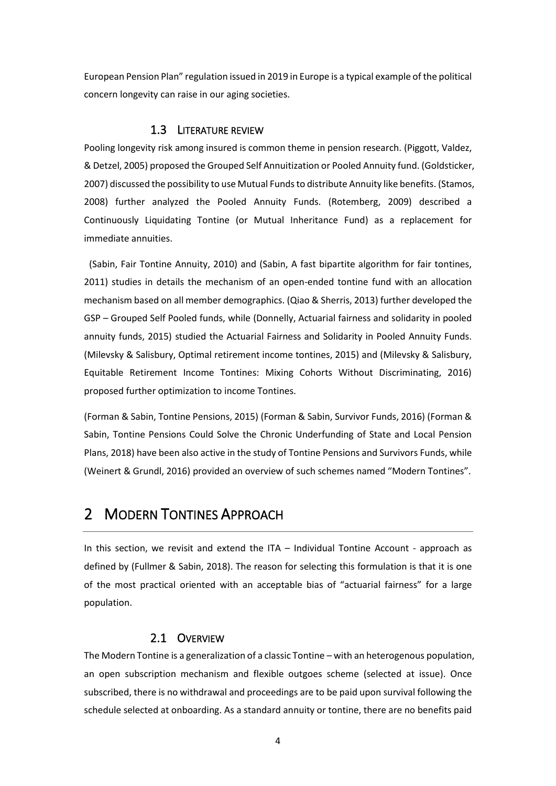European Pension Plan" regulation issued in 2019 in Europe is a typical example of the political concern longevity can raise in our aging societies.

#### 1.3 LITERATURE REVIEW

<span id="page-3-0"></span>Pooling longevity risk among insured is common theme in pension research. (Piggott, Valdez, & Detzel, 2005) proposed the Grouped Self Annuitization or Pooled Annuity fund. (Goldsticker, 2007) discussed the possibility to use Mutual Funds to distribute Annuity like benefits. (Stamos, 2008) further analyzed the Pooled Annuity Funds. (Rotemberg, 2009) described a Continuously Liquidating Tontine (or Mutual Inheritance Fund) as a replacement for immediate annuities.

(Sabin, Fair Tontine Annuity, 2010) and (Sabin, A fast bipartite algorithm for fair tontines, 2011) studies in details the mechanism of an open-ended tontine fund with an allocation mechanism based on all member demographics. (Qiao & Sherris, 2013) further developed the GSP – Grouped Self Pooled funds, while (Donnelly, Actuarial fairness and solidarity in pooled annuity funds, 2015) studied the Actuarial Fairness and Solidarity in Pooled Annuity Funds. (Milevsky & Salisbury, Optimal retirement income tontines, 2015) and (Milevsky & Salisbury, Equitable Retirement Income Tontines: Mixing Cohorts Without Discriminating, 2016) proposed further optimization to income Tontines.

(Forman & Sabin, Tontine Pensions, 2015) (Forman & Sabin, Survivor Funds, 2016) (Forman & Sabin, Tontine Pensions Could Solve the Chronic Underfunding of State and Local Pension Plans, 2018) have been also active in the study of Tontine Pensions and Survivors Funds, while (Weinert & Grundl, 2016) provided an overview of such schemes named "Modern Tontines".

# <span id="page-3-1"></span>2 MODERN TONTINES APPROACH

In this section, we revisit and extend the ITA – Individual Tontine Account - approach as defined by (Fullmer & Sabin, 2018). The reason for selecting this formulation is that it is one of the most practical oriented with an acceptable bias of "actuarial fairness" for a large population.

# 2.1 OVERVIEW

<span id="page-3-2"></span>The Modern Tontine is a generalization of a classic Tontine – with an heterogenous population, an open subscription mechanism and flexible outgoes scheme (selected at issue). Once subscribed, there is no withdrawal and proceedings are to be paid upon survival following the schedule selected at onboarding. As a standard annuity or tontine, there are no benefits paid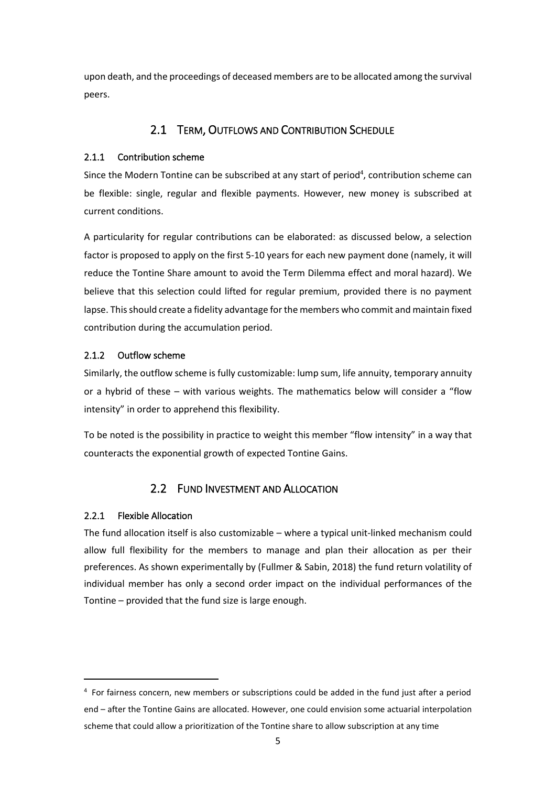<span id="page-4-0"></span>upon death, and the proceedings of deceased members are to be allocated among the survival peers.

# 2.1 TERM, OUTFLOWS AND CONTRIBUTION SCHEDULE

# 2.1.1 Contribution scheme

Since the Modern Tontine can be subscribed at any start of period<sup>4</sup>, contribution scheme can be flexible: single, regular and flexible payments. However, new money is subscribed at current conditions.

A particularity for regular contributions can be elaborated: as discussed below, a selection factor is proposed to apply on the first 5-10 years for each new payment done (namely, it will reduce the Tontine Share amount to avoid the Term Dilemma effect and moral hazard). We believe that this selection could lifted for regular premium, provided there is no payment lapse. This should create a fidelity advantage for the members who commit and maintain fixed contribution during the accumulation period.

# 2.1.2 Outflow scheme

Similarly, the outflow scheme is fully customizable: lump sum, life annuity, temporary annuity or a hybrid of these – with various weights. The mathematics below will consider a "flow intensity" in order to apprehend this flexibility.

To be noted is the possibility in practice to weight this member "flow intensity" in a way that counteracts the exponential growth of expected Tontine Gains.

# 2.2 FUND INVESTMENT AND ALLOCATION

# <span id="page-4-1"></span>2.2.1 Flexible Allocation

The fund allocation itself is also customizable – where a typical unit-linked mechanism could allow full flexibility for the members to manage and plan their allocation as per their preferences. As shown experimentally by (Fullmer & Sabin, 2018) the fund return volatility of individual member has only a second order impact on the individual performances of the Tontine – provided that the fund size is large enough.

<sup>4</sup> For fairness concern, new members or subscriptions could be added in the fund just after a period end – after the Tontine Gains are allocated. However, one could envision some actuarial interpolation scheme that could allow a prioritization of the Tontine share to allow subscription at any time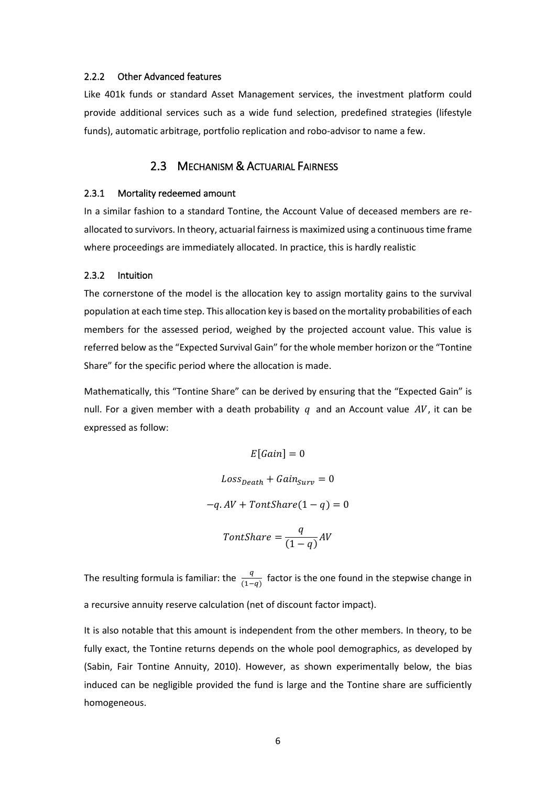#### 2.2.2 Other Advanced features

Like 401k funds or standard Asset Management services, the investment platform could provide additional services such as a wide fund selection, predefined strategies (lifestyle funds), automatic arbitrage, portfolio replication and robo-advisor to name a few.

#### 2.3 MECHANISM & ACTUARIAL FAIRNESS

#### <span id="page-5-0"></span>2.3.1 Mortality redeemed amount

In a similar fashion to a standard Tontine, the Account Value of deceased members are reallocated to survivors. In theory, actuarial fairness is maximized using a continuous time frame where proceedings are immediately allocated. In practice, this is hardly realistic

#### 2.3.2 Intuition

The cornerstone of the model is the allocation key to assign mortality gains to the survival population at each time step. This allocation key is based on the mortality probabilities of each members for the assessed period, weighed by the projected account value. This value is referred below as the "Expected Survival Gain" for the whole member horizon or the "Tontine Share" for the specific period where the allocation is made.

Mathematically, this "Tontine Share" can be derived by ensuring that the "Expected Gain" is null. For a given member with a death probability  $q$  and an Account value  $AV$ , it can be expressed as follow:

$$
E[Gain] = 0
$$
  

$$
Loss_{Death} + Gain_{Surv} = 0
$$
  

$$
-q. AV + TontShare(1 - q) = 0
$$
  

$$
TontShare = \frac{q}{(1 - q)} AV
$$

The resulting formula is familiar: the  $\frac{q}{(1-q)}$  factor is the one found in the stepwise change in a recursive annuity reserve calculation (net of discount factor impact).

It is also notable that this amount is independent from the other members. In theory, to be fully exact, the Tontine returns depends on the whole pool demographics, as developed by (Sabin, Fair Tontine Annuity, 2010). However, as shown experimentally below, the bias induced can be negligible provided the fund is large and the Tontine share are sufficiently homogeneous.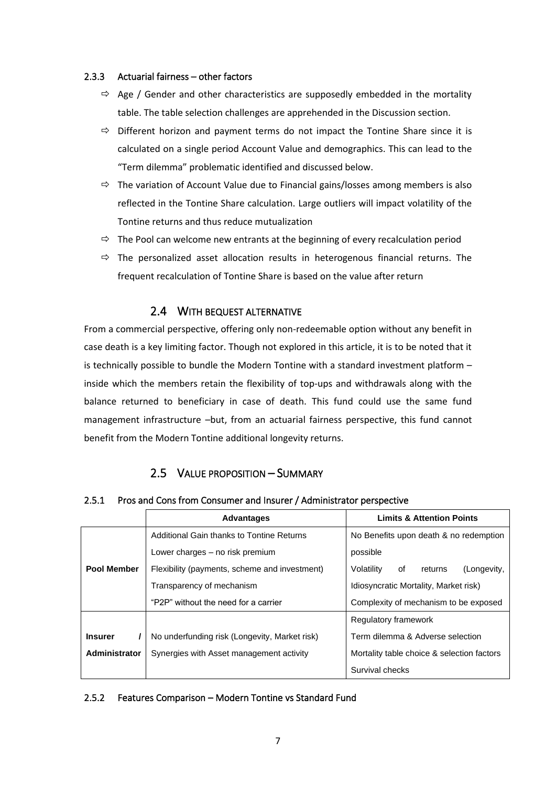#### 2.3.3 Actuarial fairness – other factors

- $\Rightarrow$  Age / Gender and other characteristics are supposedly embedded in the mortality table. The table selection challenges are apprehended in the Discussion section.
- $\Rightarrow$  Different horizon and payment terms do not impact the Tontine Share since it is calculated on a single period Account Value and demographics. This can lead to the "Term dilemma" problematic identified and discussed below.
- $\Rightarrow$  The variation of Account Value due to Financial gains/losses among members is also reflected in the Tontine Share calculation. Large outliers will impact volatility of the Tontine returns and thus reduce mutualization
- $\Rightarrow$  The Pool can welcome new entrants at the beginning of every recalculation period
- $\Rightarrow$  The personalized asset allocation results in heterogenous financial returns. The frequent recalculation of Tontine Share is based on the value after return

# 2.4 WITH BEQUEST ALTERNATIVE

<span id="page-6-0"></span>From a commercial perspective, offering only non-redeemable option without any benefit in case death is a key limiting factor. Though not explored in this article, it is to be noted that it is technically possible to bundle the Modern Tontine with a standard investment platform – inside which the members retain the flexibility of top-ups and withdrawals along with the balance returned to beneficiary in case of death. This fund could use the same fund management infrastructure –but, from an actuarial fairness perspective, this fund cannot benefit from the Modern Tontine additional longevity returns.

# 2.5 VALUE PROPOSITION – SUMMARY

#### <span id="page-6-1"></span>2.5.1 Pros and Cons from Consumer and Insurer / Administrator perspective

|                    | <b>Advantages</b>                             | <b>Limits &amp; Attention Points</b>       |  |
|--------------------|-----------------------------------------------|--------------------------------------------|--|
|                    | Additional Gain thanks to Tontine Returns     | No Benefits upon death & no redemption     |  |
|                    | Lower charges – no risk premium               | possible                                   |  |
| <b>Pool Member</b> | Flexibility (payments, scheme and investment) | (Longevity,<br>Volatility<br>οf<br>returns |  |
|                    | Transparency of mechanism                     | Idiosyncratic Mortality, Market risk)      |  |
|                    | "P2P" without the need for a carrier          | Complexity of mechanism to be exposed      |  |
|                    | Regulatory framework                          |                                            |  |
| <b>Insurer</b>     | No underfunding risk (Longevity, Market risk) | Term dilemma & Adverse selection           |  |
| Administrator      | Synergies with Asset management activity      | Mortality table choice & selection factors |  |
| Survival checks    |                                               |                                            |  |

# 2.5.2 Features Comparison – Modern Tontine vs Standard Fund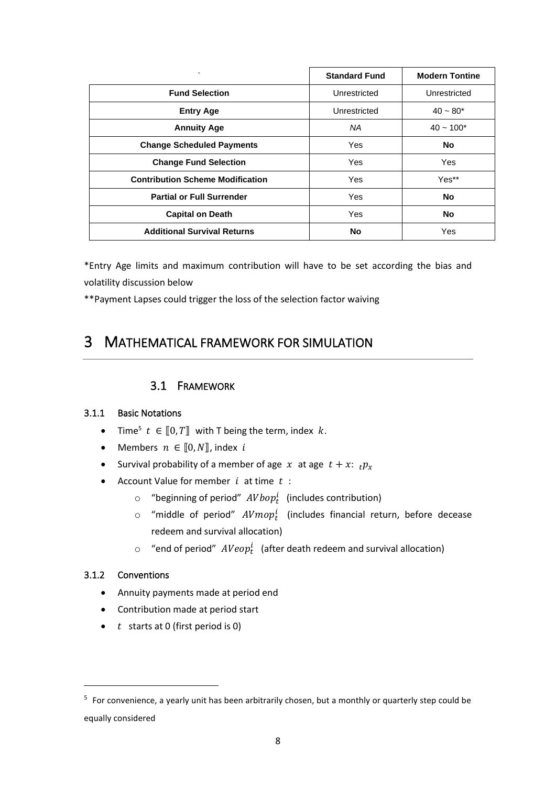| $\cdot$                                 | <b>Standard Fund</b> | <b>Modern Tontine</b> |
|-----------------------------------------|----------------------|-----------------------|
| <b>Fund Selection</b>                   | Unrestricted         | Unrestricted          |
| <b>Entry Age</b>                        | Unrestricted         | $40 - 80*$            |
| <b>Annuity Age</b>                      | NA                   | $40 \sim 100*$        |
| <b>Change Scheduled Payments</b>        | <b>Yes</b>           | No                    |
| <b>Change Fund Selection</b>            | <b>Yes</b>           | Yes                   |
| <b>Contribution Scheme Modification</b> | <b>Yes</b>           | Yes**                 |
| <b>Partial or Full Surrender</b>        | <b>Yes</b>           | <b>No</b>             |
| <b>Capital on Death</b>                 | <b>Yes</b>           | No                    |
| <b>Additional Survival Returns</b>      | <b>No</b>            | Yes                   |

\*Entry Age limits and maximum contribution will have to be set according the bias and volatility discussion below

<span id="page-7-0"></span>\*\*Payment Lapses could trigger the loss of the selection factor waiving

# <span id="page-7-1"></span>3 MATHEMATICAL FRAMEWORK FOR SIMULATION

# 3.1 FRAMEWORK

# 3.1.1 Basic Notations

- Time<sup>5</sup>  $t \in [0, T]$  with T being the term, index  $k$ .
- Members  $n \in [0, N]$ , index i
- Survival probability of a member of age x at age  $t + x$ :  $p_x$
- Account Value for member  $i$  at time  $t$  :
	- $\circ$  "beginning of period"  $AVbop_t^i$  (includes contribution)
	- $\circ$  "middle of period"  $A Vm o p_t^i$  (includes financial return, before decease redeem and survival allocation)
	- $\circ$  "end of period"  $\mathit{AVeop}^i_t$  (after death redeem and survival allocation)

# 3.1.2 Conventions

- Annuity payments made at period end
- Contribution made at period start
- $\bullet$  *t* starts at 0 (first period is 0)

<sup>&</sup>lt;sup>5</sup> For convenience, a yearly unit has been arbitrarily chosen, but a monthly or quarterly step could be equally considered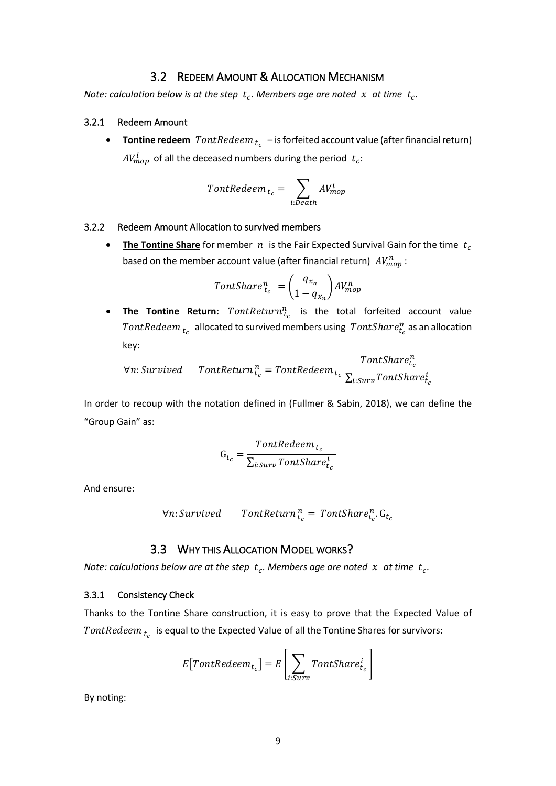# 3.2 REDEEM AMOUNT & ALLOCATION MECHANISM

<span id="page-8-0"></span>Note: calculation below is at the step  $t_c$ . Members age are noted  $x$  at time  $t_c$ .

#### 3.2.1 Redeem Amount

**•** Tontine redeem  $\text{FontRedeem}_{t_c}$  – is forfeited account value (after financial return)  $AV_{mop}^i$  of all the deceased numbers during the period  $t_c$ :

$$
TontRedeem_{t_c} = \sum_{i:D\in ath} AV^{i}_{mop}
$$

#### 3.2.2 Redeem Amount Allocation to survived members

• **The Tontine Share** for member  $n$  is the Fair Expected Survival Gain for the time  $t_c$ based on the member account value (after financial return)  $\mathit{AV}^n_{mop}$ :

$$
TontShare_{t_c}^n = \left(\frac{q_{x_n}}{1 - q_{x_n}}\right) AV_{mop}^n
$$

**• The Tontine Return:**  $TontReturn^n_{t_c}$  is the total forfeited account value  $\mathit{FontRedeem}_{\ t_c}\,$  allocated to survived members using  $\mathit{FontShare}_{t_c}^n$  as an allocation key:

$$
\forall n: Survey \hspace{0.5cm}\textit{TontReturn}\, \begin{array}{l} \textit{TontShape}^n_t\\ \textit{V.n: Survey} \end{array}
$$

In order to recoup with the notation defined in (Fullmer & Sabin, 2018), we can define the "Group Gain" as:

$$
G_{t_c} = \frac{FontRedeem_{t_c}}{\sum_{i: Surv}FontShare_{t_c}^i}
$$

And ensure:

$$
\forall n: Survey \qquad Tontheturn_{t_c}^n = Tonthare_{t_c}^n \cdot G_{t_c}
$$

# 3.3 WHY THIS ALLOCATION MODEL WORKS?

<span id="page-8-1"></span>Note: calculations below are at the step  $t_c$ . Members age are noted  $x$  at time  $t_c$ .

#### 3.3.1 Consistency Check

Thanks to the Tontine Share construction, it is easy to prove that the Expected Value of  $\mathit{FontRedeem}_{\,t_{c}}\,$  is equal to the Expected Value of all the Tontine Shares for survivors:

$$
E[FontRedeem_{t_c}] = E\left[\sum_{i: Surv} TontShare_{t_c}^i\right]
$$

By noting: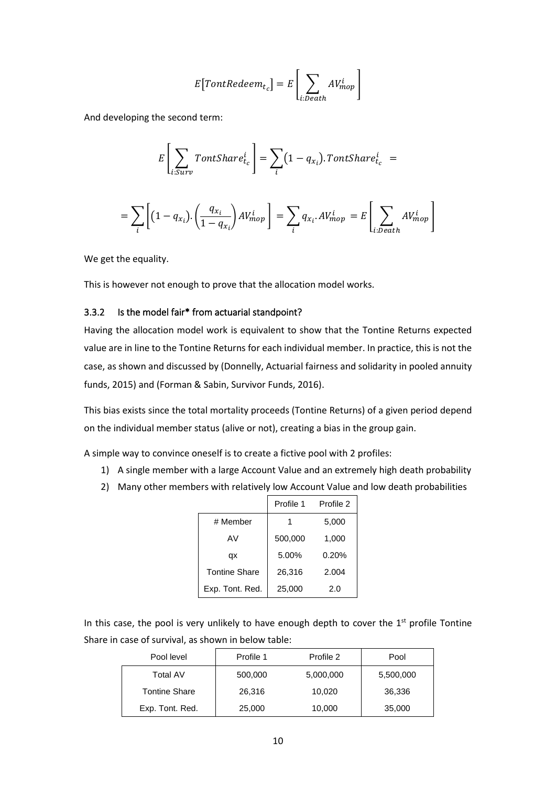$$
E[FontRedeem_{t_c}] = E\left[\sum_{i:Death} AV_{mop}^i\right]
$$

And developing the second term:

$$
E\left[\sum_{i: Surv}TontShare_{t_c}^i\right] = \sum_i (1 - q_{x_i}).\text{TontShare}_{t_c}^i =
$$
\n
$$
= \sum_i \left[ (1 - q_{x_i}).\left(\frac{q_{x_i}}{1 - q_{x_i}}\right) AV_{mop}^i \right] = \sum_i q_{x_i}.AV_{mop}^i = E\left[\sum_{i:open} AV_{mop}^i\right]
$$

i

i:Death

]

We get the equality.

i

This is however not enough to prove that the allocation model works.

#### 3.3.2 Is the model fair\* from actuarial standpoint?

Having the allocation model work is equivalent to show that the Tontine Returns expected value are in line to the Tontine Returns for each individual member. In practice, this is not the case, as shown and discussed by (Donnelly, Actuarial fairness and solidarity in pooled annuity funds, 2015) and (Forman & Sabin, Survivor Funds, 2016).

This bias exists since the total mortality proceeds (Tontine Returns) of a given period depend on the individual member status (alive or not), creating a bias in the group gain.

A simple way to convince oneself is to create a fictive pool with 2 profiles:

- 1) A single member with a large Account Value and an extremely high death probability
- 2) Many other members with relatively low Account Value and low death probabilities

|                      | Profile 1 | Profile 2 |
|----------------------|-----------|-----------|
| # Member             | 1         | 5,000     |
| AV                   | 500,000   | 1,000     |
| qx                   | 5.00%     | 0.20%     |
| <b>Tontine Share</b> | 26,316    | 2.004     |
| Exp. Tont. Red.      | 25,000    | 2.0       |

In this case, the pool is very unlikely to have enough depth to cover the  $1<sup>st</sup>$  profile Tontine Share in case of survival, as shown in below table:

| Pool level           | Profile 1 | Profile 2 | Pool      |
|----------------------|-----------|-----------|-----------|
| Total AV             | 500,000   | 5,000,000 | 5,500,000 |
| <b>Tontine Share</b> | 26,316    | 10,020    | 36,336    |
| Exp. Tont. Red.      | 25,000    | 10,000    | 35,000    |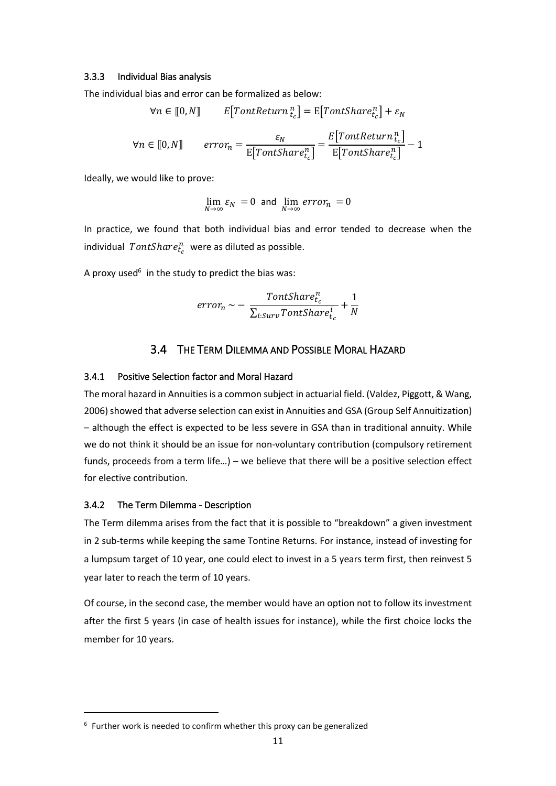#### 3.3.3 Individual Bias analysis

The individual bias and error can be formalized as below:

$$
\forall n \in [0, N] \qquad E[FontReturn_{t_c}^n] = E[FontShare_{t_c}^n] + \varepsilon_N
$$
\n
$$
\forall n \in [0, N] \qquad error_n = \frac{\varepsilon_N}{E[FontShare_{t_c}^n]} = \frac{E[FontReturn_{t_c}^n]}{E[FontShare_{t_c}^n]} - 1
$$

Ideally, we would like to prove:

$$
\lim_{N \to \infty} \varepsilon_N = 0 \text{ and } \lim_{N \to \infty} \text{error}_n = 0
$$

In practice, we found that both individual bias and error tended to decrease when the individual  $\mathit{TontShare}_{t_c}^n$  were as diluted as possible.

A proxy used<sup>6</sup> in the study to predict the bias was:

$$
error_n \sim -\frac{FontShare_{c}^n}{\sum_{i:Surv}FontShare_{t_c}^i} + \frac{1}{N}
$$

# 3.4 THE TERM DILEMMA AND POSSIBLE MORAL HAZARD

#### <span id="page-10-0"></span>3.4.1 Positive Selection factor and Moral Hazard

The moral hazard in Annuities is a common subject in actuarial field. (Valdez, Piggott, & Wang, 2006) showed that adverse selection can exist in Annuities and GSA (Group Self Annuitization) – although the effect is expected to be less severe in GSA than in traditional annuity. While we do not think it should be an issue for non-voluntary contribution (compulsory retirement funds, proceeds from a term life…) – we believe that there will be a positive selection effect for elective contribution.

#### 3.4.2 The Term Dilemma - Description

The Term dilemma arises from the fact that it is possible to "breakdown" a given investment in 2 sub-terms while keeping the same Tontine Returns. For instance, instead of investing for a lumpsum target of 10 year, one could elect to invest in a 5 years term first, then reinvest 5 year later to reach the term of 10 years.

Of course, in the second case, the member would have an option not to follow its investment after the first 5 years (in case of health issues for instance), while the first choice locks the member for 10 years.

<sup>&</sup>lt;sup>6</sup> Further work is needed to confirm whether this proxy can be generalized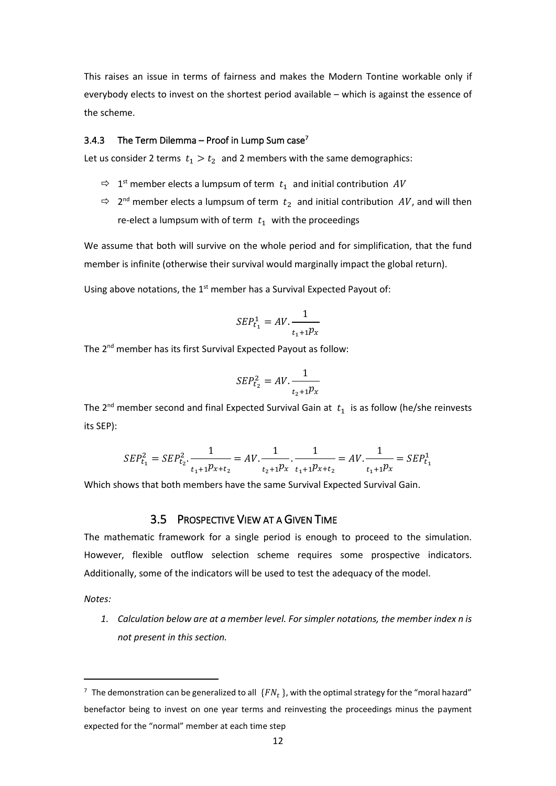This raises an issue in terms of fairness and makes the Modern Tontine workable only if everybody elects to invest on the shortest period available – which is against the essence of the scheme.

#### 3.4.3 The Term Dilemma – Proof in Lump Sum case<sup>7</sup>

Let us consider 2 terms  $t_1 > t_2$  and 2 members with the same demographics:

- $\Rightarrow$  1<sup>st</sup> member elects a lumpsum of term  $t_1$  and initial contribution  $AV$
- $\Rightarrow$  2<sup>nd</sup> member elects a lumpsum of term  $t_2$  and initial contribution  $AV$ , and will then re-elect a lumpsum with of term  $t_1$  with the proceedings

We assume that both will survive on the whole period and for simplification, that the fund member is infinite (otherwise their survival would marginally impact the global return).

Using above notations, the  $1<sup>st</sup>$  member has a Survival Expected Payout of:

$$
SEP_{t_1}^1 = AV.\frac{1}{t_1 + 1}p_x
$$

The 2nd member has its first Survival Expected Payout as follow:

$$
SEP_{t_2}^2 = AV.\frac{1}{t_2 + 1}p_x
$$

The 2<sup>nd</sup> member second and final Expected Survival Gain at  $t_1$  is as follow (he/she reinvests its SEP):

$$
SEP_{t_1}^2 = SEP_{t_2}^2 \cdot \frac{1}{t_1 + 1} = AV \cdot \frac{1}{t_2 + 1} = AV \cdot \frac{1}{t_1 + 1} = AV \cdot \frac{1}{t_1 + 1} = SEP_{t_1}^1
$$

<span id="page-11-0"></span>Which shows that both members have the same Survival Expected Survival Gain.

### 3.5 PROSPECTIVE VIEW AT A GIVEN TIME

The mathematic framework for a single period is enough to proceed to the simulation. However, flexible outflow selection scheme requires some prospective indicators. Additionally, some of the indicators will be used to test the adequacy of the model.

*Notes:*

*1. Calculation below are at a member level. For simpler notations, the member index n is not present in this section.*

 $^7$  The demonstration can be generalized to all  $\{FN_t\}$ , with the optimal strategy for the "moral hazard" benefactor being to invest on one year terms and reinvesting the proceedings minus the payment expected for the "normal" member at each time step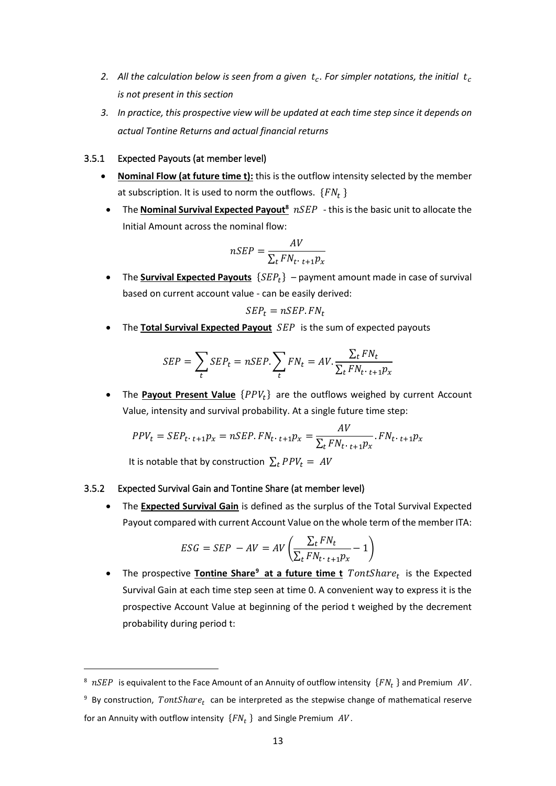- 2.  $\,$  All the calculation below is seen from a given  $\,t_c$ . For simpler notations, the initial  $\,t_c$ *is not present in this section*
- *3. In practice, this prospective view will be updated at each time step since it depends on actual Tontine Returns and actual financial returns*

#### 3.5.1 Expected Payouts (at member level)

- **Nominal Flow (at future time t):** this is the outflow intensity selected by the member at subscription. It is used to norm the outflows.  $\{FN_t\}$
- The **Nominal Survival Expected Payout**<sup>8</sup>  $nSEP$  this is the basic unit to allocate the Initial Amount across the nominal flow:

$$
nSEP = \frac{AV}{\sum_{t} FN_{t \cdot t + 1} p_{x}}
$$

• The **Survival Expected Payouts**  ${SEP_t}$  – payment amount made in case of survival based on current account value - can be easily derived:

$$
SEP_t = nSEP.FN_t
$$

• The **Total Survival Expected Payout** SEP is the sum of expected payouts

$$
SEP = \sum_{t} SEP_{t} = nSEP. \sum_{t} FN_{t} = AV. \frac{\sum_{t} FN_{t}}{\sum_{t} FN_{t \cdot t + 1} p_{x}}
$$

• The **Payout Present Value**  $\{PPV_t\}$  are the outflows weighed by current Account Value, intensity and survival probability. At a single future time step:

$$
PPV_t = SEP_t \tcdot t + 1p_x = nSEP \tcdot FN_t \tcdot t + 1p_x = \frac{AV}{\sum_t FN_t \tcdot t + 1p_x} \tcdot FN_t \tcdot t + 1p_x
$$
  
It is notable that by construction  $\sum_t PPV_t = AV$ 

#### 3.5.2 Expected Survival Gain and Tontine Share (at member level)

• The **Expected Survival Gain** is defined as the surplus of the Total Survival Expected Payout compared with current Account Value on the whole term of the member ITA:

$$
ESG = SEP - AV = AV\left(\frac{\sum_{t} FN_{t}}{\sum_{t} FN_{t \cdot t + 1} p_{x}} - 1\right)
$$

• The prospective **Tontine Share<sup>9</sup> at a future time t**  $TontShare_t$  is the Expected Survival Gain at each time step seen at time 0. A convenient way to express it is the prospective Account Value at beginning of the period t weighed by the decrement probability during period t:

 $^8$  n $SEP$  is equivalent to the Face Amount of an Annuity of outflow intensity  $\{FN_t\}$  and Premium  $\;AV.$ 

<sup>&</sup>lt;sup>9</sup> By construction,  $TontShare_t$  can be interpreted as the stepwise change of mathematical reserve for an Annuity with outflow intensity  $\{FN_t\}$  and Single Premium  $AV$ .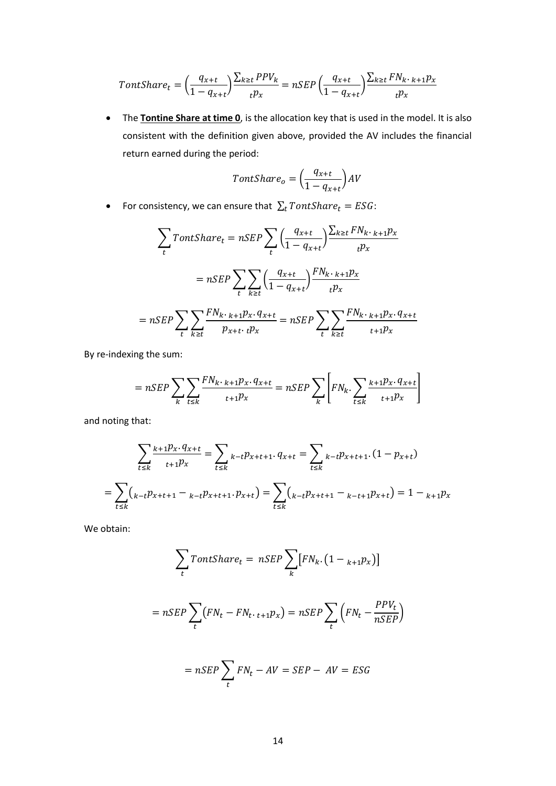$$
TontShare_t = \left(\frac{q_{x+t}}{1 - q_{x+t}}\right) \frac{\sum_{k \ge t} PPV_k}{tP_x} = nSEP \left(\frac{q_{x+t}}{1 - q_{x+t}}\right) \frac{\sum_{k \ge t} FN_{k \cdot k + 1} p_x}{tP_x}
$$

• The **Tontine Share at time 0**, is the allocation key that is used in the model. It is also consistent with the definition given above, provided the AV includes the financial return earned during the period:

$$
TontShare_o = \left(\frac{q_{x+t}}{1 - q_{x+t}}\right)AV
$$

• For consistency, we can ensure that  $\sum_t \text{FontShare}_t = ESG$ :

$$
\sum_{t} \text{TontShare}_{t} = nSEP \sum_{t} \left(\frac{q_{x+t}}{1 - q_{x+t}}\right) \frac{\sum_{k \ge t} FN_{k \cdot k + 1} p_{x}}{t p_{x}}
$$
\n
$$
= nSEP \sum_{t} \sum_{k \ge t} \left(\frac{q_{x+t}}{1 - q_{x+t}}\right) \frac{FN_{k \cdot k + 1} p_{x}}{t p_{x}}
$$
\n
$$
= nSEP \sum_{t} \sum_{k \ge t} \frac{FN_{k \cdot k + 1} p_{x \cdot} q_{x+t}}{p_{x+t \cdot t} p_{x}} = nSEP \sum_{t} \sum_{k \ge t} \frac{FN_{k \cdot k + 1} p_{x \cdot} q_{x+t}}{t + 1 p_{x}}
$$

By re-indexing the sum:

$$
= nSEP \sum_{k} \sum_{t \le k} \frac{FN_{k \cdot k+1}p_{x \cdot q_{x+t}}}{t+1} = nSEP \sum_{k} \left[ FN_{k} \sum_{t \le k} \frac{k+1}p_{x \cdot q_{x+t}}{t+1} \right]
$$

and noting that:

$$
\sum_{t \le k} \frac{k + 1 p_x \cdot q_{x+t}}{t + 1 p_x} = \sum_{t \le k} k - t p_{x+t+1} \cdot q_{x+t} = \sum_{t \le k} k - t p_{x+t+1} \cdot (1 - p_{x+t})
$$
\n
$$
= \sum_{t \le k} \left( k - t p_{x+t+1} - k - t p_{x+t+1} \cdot p_{x+t} \right) = \sum_{t \le k} \left( k - t p_{x+t+1} - k - t + 1 p_{x+t} \right) = 1 - k + 1 p_x
$$

We obtain:

$$
\sum_{t} \text{FontShare}_{t} = nSEP \sum_{k} [FN_{k}.(1 - {}_{k+1}p_{x})]
$$

$$
= nSEP \sum_{t} (FN_{t} - FN_{t \cdot t + 1}p_{x}) = nSEP \sum_{t} (FN_{t} - \frac{PPV_{t}}{nSEP})
$$

$$
= nSEP \sum_{t} FN_{t} - AV = SEP - AV = ESG
$$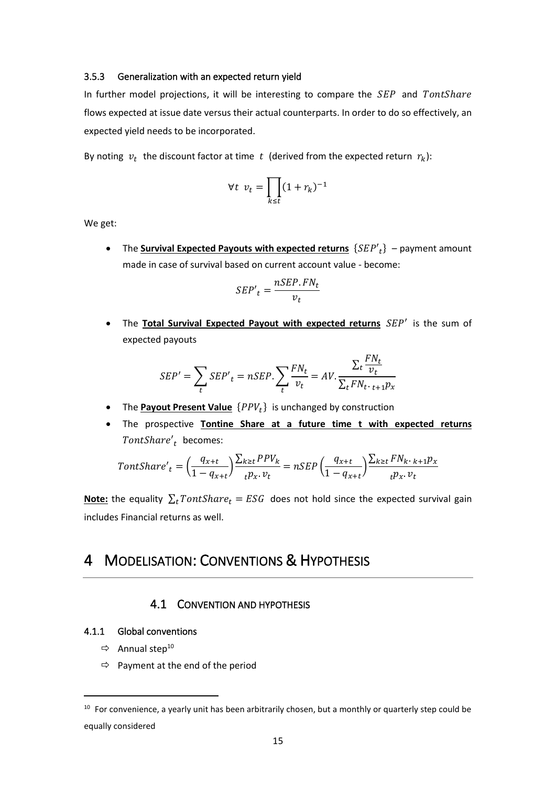#### 3.5.3 Generalization with an expected return yield

In further model projections, it will be interesting to compare the SEP and TontShare flows expected at issue date versus their actual counterparts. In order to do so effectively, an expected yield needs to be incorporated.

By noting  $v_t$  the discount factor at time  $t$  (derived from the expected return  $r_k$ ):

$$
\forall t \ v_t = \prod_{k \le t} (1 + r_k)^{-1}
$$

We get:

• The **Survival Expected Payouts with expected returns**  ${SEP'}_t$  – payment amount made in case of survival based on current account value - become:

$$
SEP't = \frac{nSEP.FN_t}{v_t}
$$

• The **Total Survival Expected Payout with expected returns** SEP' is the sum of expected payouts

$$
SEP' = \sum_{t} SEP'_{t} = nSEP \cdot \sum_{t} \frac{FN_{t}}{v_{t}} = AV \cdot \frac{\sum_{t} \frac{FN_{t}}{v_{t}}}{\sum_{t} FN_{t \cdot t + 1} p_{x}}
$$

- The **Payout Present Value** { } is unchanged by construction
- The prospective **Tontine Share at a future time t with expected returns** TontShare'<sub>t</sub> becomes:

$$
TontShare'_{t} = \left(\frac{q_{x+t}}{1-q_{x+t}}\right) \frac{\sum_{k\geq t} PPV_{k}}{t p_{x}.\, v_{t}} = nSEP\left(\frac{q_{x+t}}{1-q_{x+t}}\right) \frac{\sum_{k\geq t} FN_{k}.\, k+1 p_{x}}{t p_{x}.\, v_{t}}
$$

**<u>Note:</u>** the equality  $\sum_{t} \text{FontShare}_{t} = \text{ESG}$  does not hold since the expected survival gain includes Financial returns as well.

# <span id="page-14-1"></span><span id="page-14-0"></span>4 MODELISATION: CONVENTIONS & HYPOTHESIS

# 4.1 CONVENTION AND HYPOTHESIS

#### 4.1.1 Global conventions

- $\Rightarrow$  Annual step<sup>10</sup>
- $\Rightarrow$  Payment at the end of the period

<sup>&</sup>lt;sup>10</sup> For convenience, a yearly unit has been arbitrarily chosen, but a monthly or quarterly step could be equally considered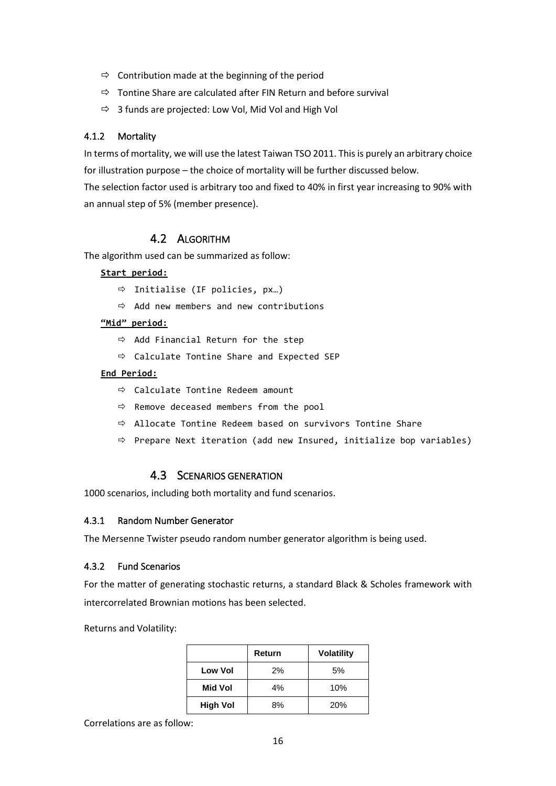- $\Rightarrow$  Contribution made at the beginning of the period
- $\Rightarrow$  Tontine Share are calculated after FIN Return and before survival
- $\Rightarrow$  3 funds are projected: Low Vol, Mid Vol and High Vol

## 4.1.2 Mortality

In terms of mortality, we will use the latest Taiwan TSO 2011. This is purely an arbitrary choice for illustration purpose – the choice of mortality will be further discussed below. The selection factor used is arbitrary too and fixed to 40% in first year increasing to 90% with an annual step of 5% (member presence).

# 4.2 ALGORITHM

<span id="page-15-0"></span>The algorithm used can be summarized as follow:

#### **Start period:**

- $\Rightarrow$  Initialise (IF policies, px...)
- $\Rightarrow$  Add new members and new contributions

### **"Mid" period:**

- $\Rightarrow$  Add Financial Return for the step
- $\Rightarrow$  Calculate Tontine Share and Expected SEP

#### **End Period:**

- $\Rightarrow$  Calculate Tontine Redeem amount
- $\Rightarrow$  Remove deceased members from the pool
- Allocate Tontine Redeem based on survivors Tontine Share
- <span id="page-15-1"></span> $\Rightarrow$  Prepare Next iteration (add new Insured, initialize bop variables)

# 4.3 SCENARIOS GENERATION

1000 scenarios, including both mortality and fund scenarios.

#### 4.3.1 Random Number Generator

The Mersenne Twister pseudo random number generator algorithm is being used.

#### 4.3.2 Fund Scenarios

For the matter of generating stochastic returns, a standard Black & Scholes framework with intercorrelated Brownian motions has been selected.

Returns and Volatility:

|                 | Return | <b>Volatility</b> |
|-----------------|--------|-------------------|
| <b>Low Vol</b>  | $2\%$  | 5%                |
| Mid Vol         | 4%     | 10%               |
| <b>High Vol</b> | 8%     | <b>20%</b>        |

Correlations are as follow: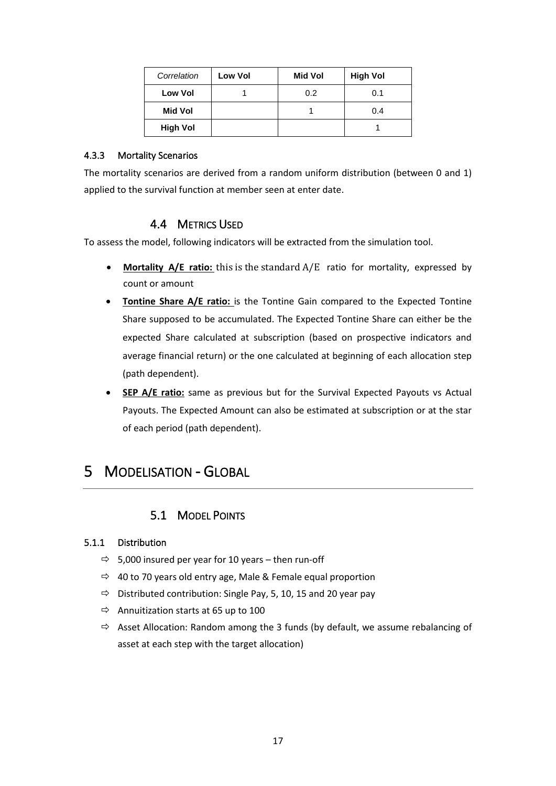| Correlation     | <b>Low Vol</b> | Mid Vol | <b>High Vol</b> |
|-----------------|----------------|---------|-----------------|
| <b>Low Vol</b>  |                | 0.2     | 0.1             |
| Mid Vol         |                |         | 0.4             |
| <b>High Vol</b> |                |         |                 |

## 4.3.3 Mortality Scenarios

<span id="page-16-0"></span>The mortality scenarios are derived from a random uniform distribution (between 0 and 1) applied to the survival function at member seen at enter date.

# 4.4 METRICS USED

To assess the model, following indicators will be extracted from the simulation tool.

- **Mortality A/E ratio:** this is the standard A/E ratio for mortality, expressed by count or amount
- **Tontine Share A/E ratio:** is the Tontine Gain compared to the Expected Tontine Share supposed to be accumulated. The Expected Tontine Share can either be the expected Share calculated at subscription (based on prospective indicators and average financial return) or the one calculated at beginning of each allocation step (path dependent).
- **SEP A/E ratio:** same as previous but for the Survival Expected Payouts vs Actual Payouts. The Expected Amount can also be estimated at subscription or at the star of each period (path dependent).

# <span id="page-16-2"></span><span id="page-16-1"></span>5 MODELISATION - GLOBAL

# 5.1 MODEL POINTS

# 5.1.1 Distribution

- $\Rightarrow$  5,000 insured per year for 10 years then run-off
- $\Rightarrow$  40 to 70 years old entry age, Male & Female equal proportion
- $\Rightarrow$  Distributed contribution: Single Pay, 5, 10, 15 and 20 year pay
- $\Rightarrow$  Annuitization starts at 65 up to 100
- $\Rightarrow$  Asset Allocation: Random among the 3 funds (by default, we assume rebalancing of asset at each step with the target allocation)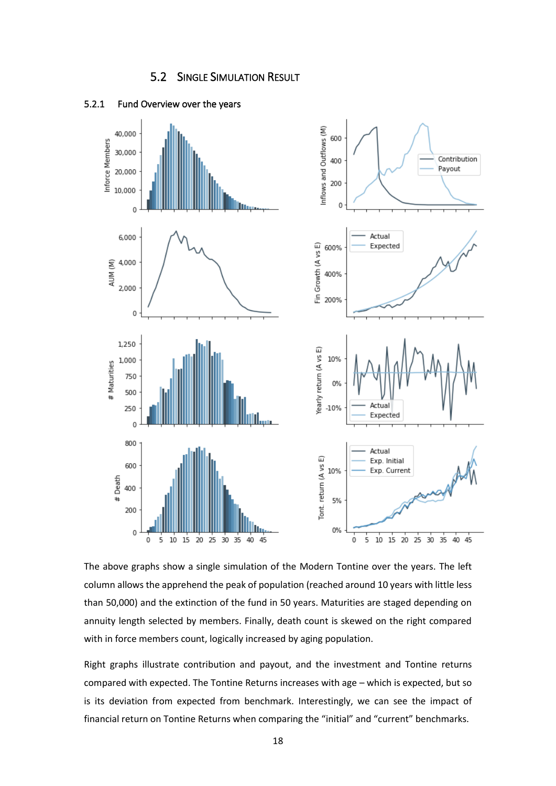



#### <span id="page-17-0"></span>5.2.1 Fund Overview over the years

The above graphs show a single simulation of the Modern Tontine over the years. The left column allows the apprehend the peak of population (reached around 10 years with little less than 50,000) and the extinction of the fund in 50 years. Maturities are staged depending on annuity length selected by members. Finally, death count is skewed on the right compared with in force members count, logically increased by aging population.

Right graphs illustrate contribution and payout, and the investment and Tontine returns compared with expected. The Tontine Returns increases with age – which is expected, but so is its deviation from expected from benchmark. Interestingly, we can see the impact of financial return on Tontine Returns when comparing the "initial" and "current" benchmarks.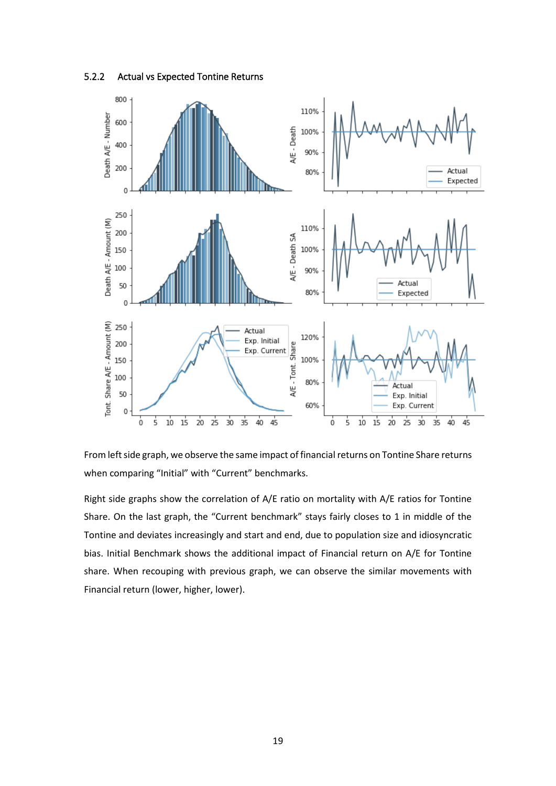



From left side graph, we observe the same impact of financial returns on Tontine Share returns when comparing "Initial" with "Current" benchmarks.

Right side graphs show the correlation of A/E ratio on mortality with A/E ratios for Tontine Share. On the last graph, the "Current benchmark" stays fairly closes to 1 in middle of the Tontine and deviates increasingly and start and end, due to population size and idiosyncratic bias. Initial Benchmark shows the additional impact of Financial return on A/E for Tontine share. When recouping with previous graph, we can observe the similar movements with Financial return (lower, higher, lower).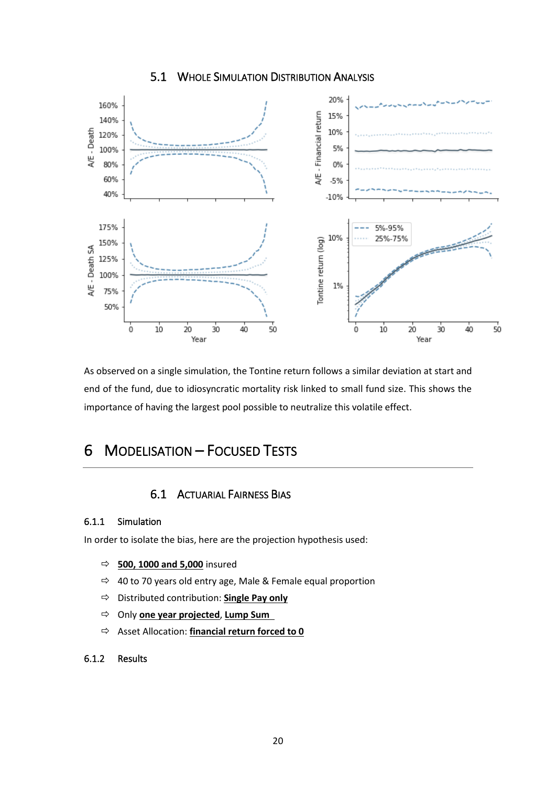# 5.1 WHOLE SIMULATION DISTRIBUTION ANALYSIS

<span id="page-19-0"></span>

As observed on a single simulation, the Tontine return follows a similar deviation at start and end of the fund, due to idiosyncratic mortality risk linked to small fund size. This shows the importance of having the largest pool possible to neutralize this volatile effect.

# <span id="page-19-2"></span><span id="page-19-1"></span>6 MODELISATION – FOCUSED TESTS

# 6.1 ACTUARIAL FAIRNESS BIAS

#### 6.1.1 Simulation

In order to isolate the bias, here are the projection hypothesis used:

- **500, 1000 and 5,000** insured
- $\Rightarrow$  40 to 70 years old entry age, Male & Female equal proportion
- Distributed contribution: **Single Pay only**
- Only **one year projected**, **Lump Sum**
- Asset Allocation: **financial return forced to 0**

# 6.1.2 Results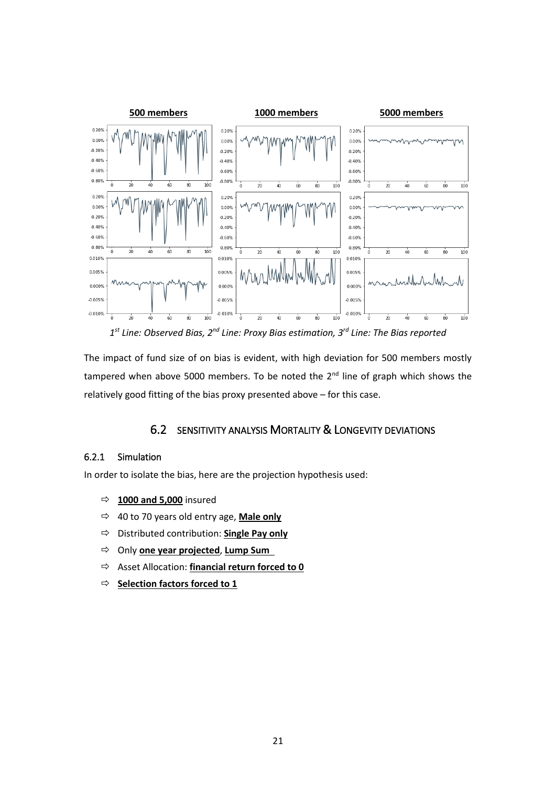

1<sup>st</sup> Line: Observed Bias, 2<sup>nd</sup> Line: Proxy Bias estimation, 3<sup>rd</sup> Line: The Bias reported

The impact of fund size of on bias is evident, with high deviation for 500 members mostly tampered when above 5000 members. To be noted the  $2<sup>nd</sup>$  line of graph which shows the relatively good fitting of the bias proxy presented above – for this case.

# 6.2 SENSITIVITY ANALYSIS MORTALITY & LONGEVITY DEVIATIONS

#### <span id="page-20-0"></span>6.2.1 Simulation

In order to isolate the bias, here are the projection hypothesis used:

- **1000 and 5,000** insured
- 40 to 70 years old entry age, **Male only**
- Distributed contribution: **Single Pay only**
- Only **one year projected**, **Lump Sum**
- Asset Allocation: **financial return forced to 0**
- **Selection factors forced to 1**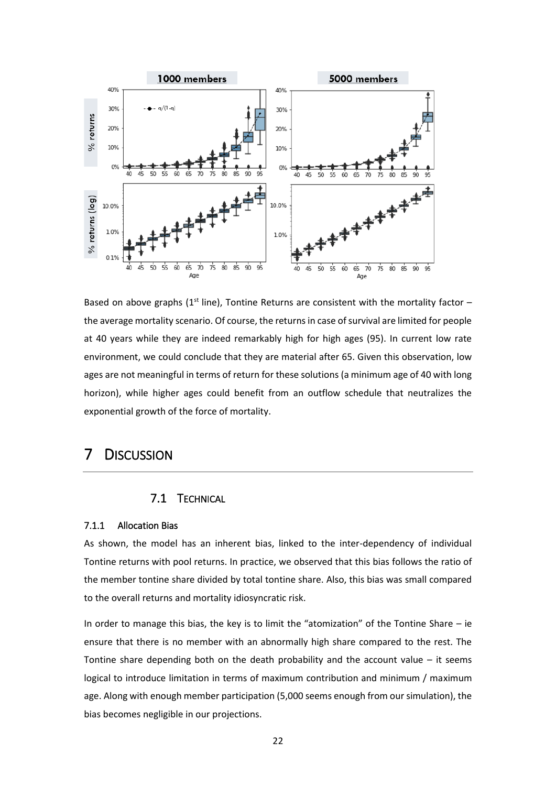

Based on above graphs ( $1<sup>st</sup>$  line), Tontine Returns are consistent with the mortality factor – the average mortality scenario. Of course, the returns in case of survival are limited for people at 40 years while they are indeed remarkably high for high ages (95). In current low rate environment, we could conclude that they are material after 65. Given this observation, low ages are not meaningful in terms of return for these solutions (a minimum age of 40 with long horizon), while higher ages could benefit from an outflow schedule that neutralizes the exponential growth of the force of mortality.

# <span id="page-21-1"></span><span id="page-21-0"></span>7 DISCUSSION

# 7.1 TECHNICAL

#### 7.1.1 Allocation Bias

As shown, the model has an inherent bias, linked to the inter-dependency of individual Tontine returns with pool returns. In practice, we observed that this bias follows the ratio of the member tontine share divided by total tontine share. Also, this bias was small compared to the overall returns and mortality idiosyncratic risk.

In order to manage this bias, the key is to limit the "atomization" of the Tontine Share  $-$  ie ensure that there is no member with an abnormally high share compared to the rest. The Tontine share depending both on the death probability and the account value  $-$  it seems logical to introduce limitation in terms of maximum contribution and minimum / maximum age. Along with enough member participation (5,000 seems enough from our simulation), the bias becomes negligible in our projections.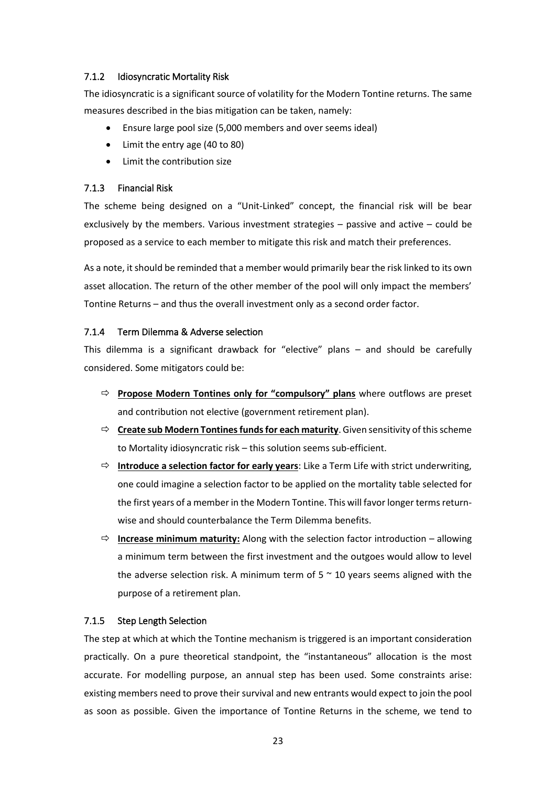# 7.1.2 Idiosyncratic Mortality Risk

The idiosyncratic is a significant source of volatility for the Modern Tontine returns. The same measures described in the bias mitigation can be taken, namely:

- Ensure large pool size (5,000 members and over seems ideal)
- Limit the entry age (40 to 80)
- Limit the contribution size

## 7.1.3 Financial Risk

The scheme being designed on a "Unit-Linked" concept, the financial risk will be bear exclusively by the members. Various investment strategies – passive and active – could be proposed as a service to each member to mitigate this risk and match their preferences.

As a note, it should be reminded that a member would primarily bear the risk linked to its own asset allocation. The return of the other member of the pool will only impact the members' Tontine Returns – and thus the overall investment only as a second order factor.

#### 7.1.4 Term Dilemma & Adverse selection

This dilemma is a significant drawback for "elective" plans – and should be carefully considered. Some mitigators could be:

- **Propose Modern Tontines only for "compulsory" plans** where outflows are preset and contribution not elective (government retirement plan).
- **Create sub Modern Tontinesfunds for each maturity**. Given sensitivity of this scheme to Mortality idiosyncratic risk – this solution seems sub-efficient.
- **Introduce a selection factor for early years**: Like a Term Life with strict underwriting, one could imagine a selection factor to be applied on the mortality table selected for the first years of a member in the Modern Tontine. This will favor longer terms returnwise and should counterbalance the Term Dilemma benefits.
- $\Rightarrow$  **Increase minimum maturity:** Along with the selection factor introduction allowing a minimum term between the first investment and the outgoes would allow to level the adverse selection risk. A minimum term of  $5 \approx 10$  years seems aligned with the purpose of a retirement plan.

# 7.1.5 Step Length Selection

The step at which at which the Tontine mechanism is triggered is an important consideration practically. On a pure theoretical standpoint, the "instantaneous" allocation is the most accurate. For modelling purpose, an annual step has been used. Some constraints arise: existing members need to prove their survival and new entrants would expect to join the pool as soon as possible. Given the importance of Tontine Returns in the scheme, we tend to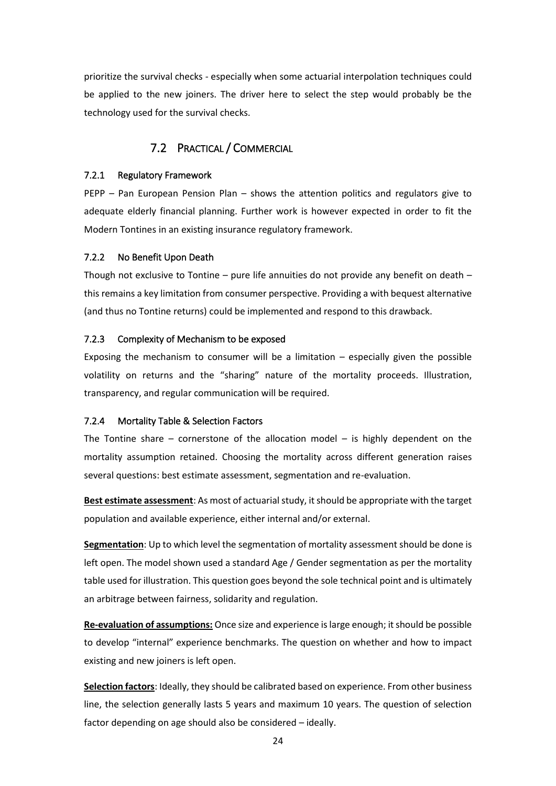prioritize the survival checks - especially when some actuarial interpolation techniques could be applied to the new joiners. The driver here to select the step would probably be the technology used for the survival checks.

# 7.2 PRACTICAL / COMMERCIAL

#### <span id="page-23-0"></span>7.2.1 Regulatory Framework

PEPP – Pan European Pension Plan – shows the attention politics and regulators give to adequate elderly financial planning. Further work is however expected in order to fit the Modern Tontines in an existing insurance regulatory framework.

#### 7.2.2 No Benefit Upon Death

Though not exclusive to Tontine – pure life annuities do not provide any benefit on death – this remains a key limitation from consumer perspective. Providing a with bequest alternative (and thus no Tontine returns) could be implemented and respond to this drawback.

#### 7.2.3 Complexity of Mechanism to be exposed

Exposing the mechanism to consumer will be a limitation  $-$  especially given the possible volatility on returns and the "sharing" nature of the mortality proceeds. Illustration, transparency, and regular communication will be required.

#### 7.2.4 Mortality Table & Selection Factors

The Tontine share – cornerstone of the allocation model – is highly dependent on the mortality assumption retained. Choosing the mortality across different generation raises several questions: best estimate assessment, segmentation and re-evaluation.

**Best estimate assessment**: As most of actuarial study, it should be appropriate with the target population and available experience, either internal and/or external.

**Segmentation**: Up to which level the segmentation of mortality assessment should be done is left open. The model shown used a standard Age / Gender segmentation as per the mortality table used for illustration. This question goes beyond the sole technical point and is ultimately an arbitrage between fairness, solidarity and regulation.

**Re-evaluation of assumptions:** Once size and experience is large enough; it should be possible to develop "internal" experience benchmarks. The question on whether and how to impact existing and new joiners is left open.

**Selection factors**: Ideally, they should be calibrated based on experience. From other business line, the selection generally lasts 5 years and maximum 10 years. The question of selection factor depending on age should also be considered – ideally.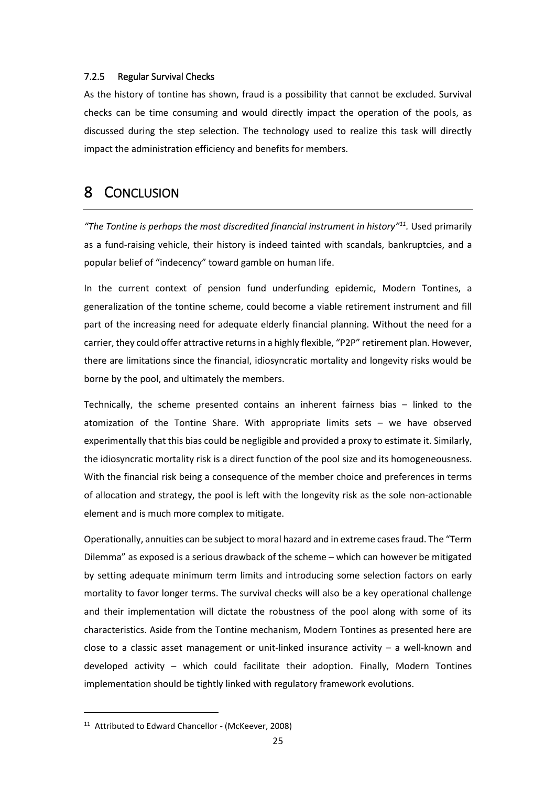#### 7.2.5 Regular Survival Checks

As the history of tontine has shown, fraud is a possibility that cannot be excluded. Survival checks can be time consuming and would directly impact the operation of the pools, as discussed during the step selection. The technology used to realize this task will directly impact the administration efficiency and benefits for members.

# <span id="page-24-0"></span>8 CONCLUSION

*"The Tontine is perhaps the most discredited financial instrument in history"<sup>11</sup> .* Used primarily as a fund-raising vehicle, their history is indeed tainted with scandals, bankruptcies, and a popular belief of "indecency" toward gamble on human life.

In the current context of pension fund underfunding epidemic, Modern Tontines, a generalization of the tontine scheme, could become a viable retirement instrument and fill part of the increasing need for adequate elderly financial planning. Without the need for a carrier, they could offer attractive returns in a highly flexible, "P2P" retirement plan. However, there are limitations since the financial, idiosyncratic mortality and longevity risks would be borne by the pool, and ultimately the members.

Technically, the scheme presented contains an inherent fairness bias – linked to the atomization of the Tontine Share. With appropriate limits sets – we have observed experimentally that this bias could be negligible and provided a proxy to estimate it. Similarly, the idiosyncratic mortality risk is a direct function of the pool size and its homogeneousness. With the financial risk being a consequence of the member choice and preferences in terms of allocation and strategy, the pool is left with the longevity risk as the sole non-actionable element and is much more complex to mitigate.

Operationally, annuities can be subject to moral hazard and in extreme cases fraud. The "Term Dilemma" as exposed is a serious drawback of the scheme – which can however be mitigated by setting adequate minimum term limits and introducing some selection factors on early mortality to favor longer terms. The survival checks will also be a key operational challenge and their implementation will dictate the robustness of the pool along with some of its characteristics. Aside from the Tontine mechanism, Modern Tontines as presented here are close to a classic asset management or unit-linked insurance activity  $-$  a well-known and developed activity – which could facilitate their adoption. Finally, Modern Tontines implementation should be tightly linked with regulatory framework evolutions.

<sup>&</sup>lt;sup>11</sup> Attributed to Edward Chancellor - (McKeever, 2008)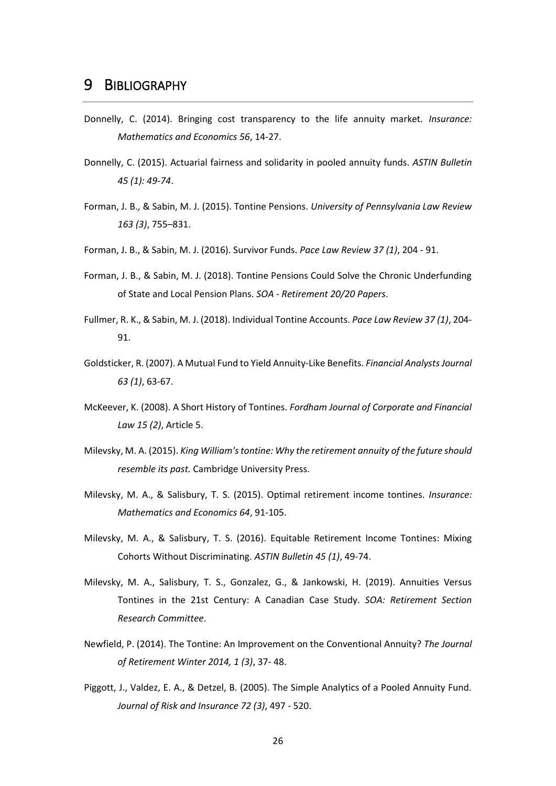- <span id="page-25-0"></span>Donnelly, C. (2014). Bringing cost transparency to the life annuity market. *Insurance: Mathematics and Economics 56*, 14-27.
- Donnelly, C. (2015). Actuarial fairness and solidarity in pooled annuity funds. *ASTIN Bulletin 45 (1): 49-74*.
- Forman, J. B., & Sabin, M. J. (2015). Tontine Pensions. *University of Pennsylvania Law Review 163 (3)*, 755–831.
- Forman, J. B., & Sabin, M. J. (2016). Survivor Funds. *Pace Law Review 37 (1)*, 204 91.
- Forman, J. B., & Sabin, M. J. (2018). Tontine Pensions Could Solve the Chronic Underfunding of State and Local Pension Plans. *SOA - Retirement 20/20 Papers*.
- Fullmer, R. K., & Sabin, M. J. (2018). Individual Tontine Accounts. *Pace Law Review 37 (1)*, 204- 91.
- Goldsticker, R. (2007). A Mutual Fund to Yield Annuity-Like Benefits. *Financial Analysts Journal 63 (1)*, 63-67.
- McKeever, K. (2008). A Short History of Tontines. *Fordham Journal of Corporate and Financial Law 15 (2)*, Article 5.
- Milevsky, M. A. (2015). *King William's tontine: Why the retirement annuity of the future should resemble its past.* Cambridge University Press.
- Milevsky, M. A., & Salisbury, T. S. (2015). Optimal retirement income tontines. *Insurance: Mathematics and Economics 64*, 91-105.
- Milevsky, M. A., & Salisbury, T. S. (2016). Equitable Retirement Income Tontines: Mixing Cohorts Without Discriminating. *ASTIN Bulletin 45 (1)*, 49-74.
- Milevsky, M. A., Salisbury, T. S., Gonzalez, G., & Jankowski, H. (2019). Annuities Versus Tontines in the 21st Century: A Canadian Case Study. *SOA: Retirement Section Research Committee*.
- Newfield, P. (2014). The Tontine: An Improvement on the Conventional Annuity? *The Journal of Retirement Winter 2014, 1 (3)*, 37- 48.
- Piggott, J., Valdez, E. A., & Detzel, B. (2005). The Simple Analytics of a Pooled Annuity Fund. *Journal of Risk and Insurance 72 (3)*, 497 - 520.